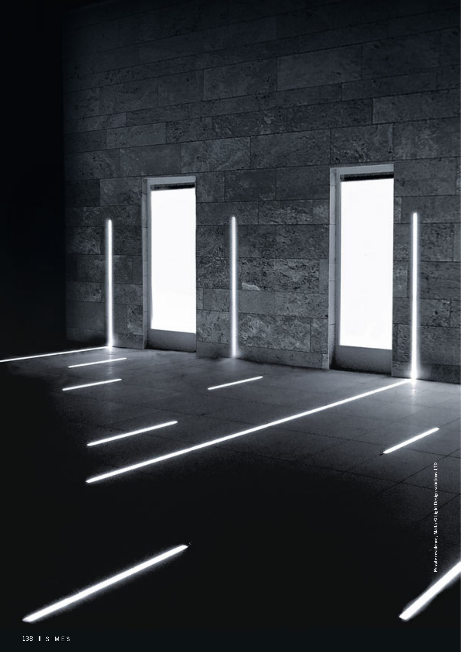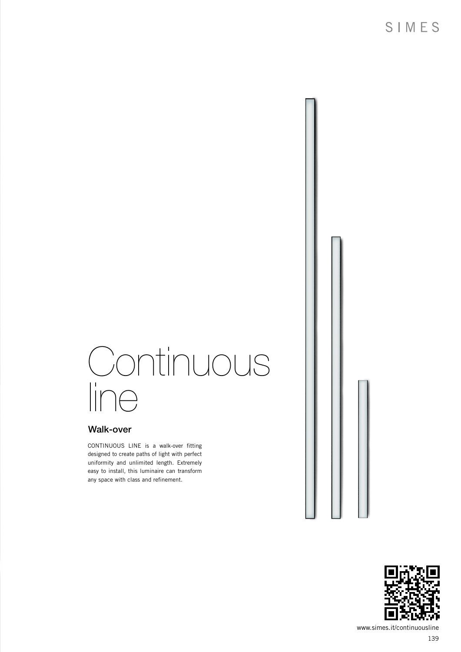# Continuous line

### Walk-over

CONTINUOUS LINE is a walk-over fitting designed to create paths of light with perfect uniformity and unlimited length. Extremely easy to install, this luminaire can transform any space with class and refinement.



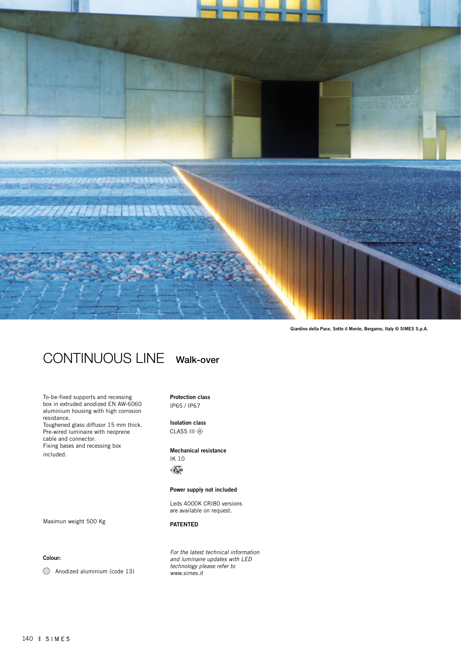

Giardino della Pace, Sotto il Monte, Bergamo, Italy © SIMES S.p.A.

## CONTINUOUS LINE Walk-over

To-be-fixed supports and recessing box in extruded anodized EN AW-6060 aluminium housing with high corrosion resistance. Toughened glass diffusor 15 mm thick.

Pre-wired luminaire with neoprene cable and connector. Fixing bases and recessing box included.

#### Protection class IP65 / IP67

Isolation class CLASS III

#### Mechanical resistance IK 10

 $\mathscr{K}_{\mathbf{0}}$ 

#### Power supply not included

Leds 4000K CRI80 versions are available on request.

PATENTED

*For the latest technical information and luminaire updates with LED technology please refer to www.simes.it* 

Maximun weight 500 Kg

#### Colour:

Anodized aluminium (code 13)